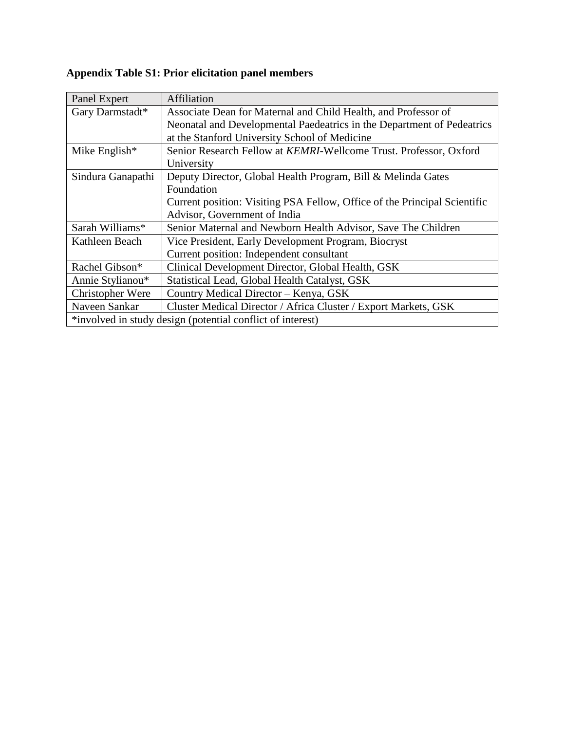# **Appendix Table S1: Prior elicitation panel members**

| Panel Expert      | Affiliation                                                               |
|-------------------|---------------------------------------------------------------------------|
| Gary Darmstadt*   | Associate Dean for Maternal and Child Health, and Professor of            |
|                   | Neonatal and Developmental Paedeatrics in the Department of Pedeatrics    |
|                   | at the Stanford University School of Medicine                             |
| Mike English $*$  | Senior Research Fellow at KEMRI-Wellcome Trust. Professor, Oxford         |
|                   | University                                                                |
| Sindura Ganapathi | Deputy Director, Global Health Program, Bill & Melinda Gates              |
|                   | Foundation                                                                |
|                   | Current position: Visiting PSA Fellow, Office of the Principal Scientific |
|                   | Advisor, Government of India                                              |
| Sarah Williams*   | Senior Maternal and Newborn Health Advisor, Save The Children             |
| Kathleen Beach    | Vice President, Early Development Program, Biocryst                       |
|                   | Current position: Independent consultant                                  |
| Rachel Gibson*    | Clinical Development Director, Global Health, GSK                         |
| Annie Stylianou*  | Statistical Lead, Global Health Catalyst, GSK                             |
| Christopher Were  | Country Medical Director - Kenya, GSK                                     |
| Naveen Sankar     | Cluster Medical Director / Africa Cluster / Export Markets, GSK           |
|                   | *involved in study design (potential conflict of interest)                |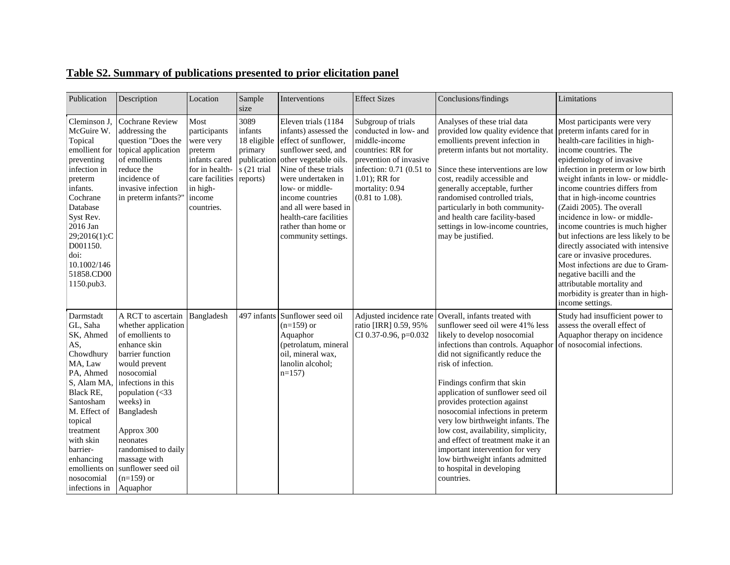# **Table S2. Summary of publications presented to prior elicitation panel**

| Publication                                                                                                                                                                                                                                           | Description                                                                                                                                                                                                                                                                                                                              | Location                                                                                                                               | Sample<br>size                                                                      | Interventions                                                                                                                                                                                                                                                                                               | <b>Effect Sizes</b>                                                                                                                                                                                         | Conclusions/findings                                                                                                                                                                                                                                                                                                                                                                                                                                                                                                                                                        | Limitations                                                                                                                                                                                                                                                                                                                                                                                                                                                                                                                                                                                                                                                           |
|-------------------------------------------------------------------------------------------------------------------------------------------------------------------------------------------------------------------------------------------------------|------------------------------------------------------------------------------------------------------------------------------------------------------------------------------------------------------------------------------------------------------------------------------------------------------------------------------------------|----------------------------------------------------------------------------------------------------------------------------------------|-------------------------------------------------------------------------------------|-------------------------------------------------------------------------------------------------------------------------------------------------------------------------------------------------------------------------------------------------------------------------------------------------------------|-------------------------------------------------------------------------------------------------------------------------------------------------------------------------------------------------------------|-----------------------------------------------------------------------------------------------------------------------------------------------------------------------------------------------------------------------------------------------------------------------------------------------------------------------------------------------------------------------------------------------------------------------------------------------------------------------------------------------------------------------------------------------------------------------------|-----------------------------------------------------------------------------------------------------------------------------------------------------------------------------------------------------------------------------------------------------------------------------------------------------------------------------------------------------------------------------------------------------------------------------------------------------------------------------------------------------------------------------------------------------------------------------------------------------------------------------------------------------------------------|
| Cleminson J,<br>McGuire W.<br>Topical<br>emollient for<br>preventing<br>infection in<br>preterm<br>infants.<br>Cochrane<br>Database<br>Syst Rev.<br>2016 Jan<br>29;2016(1):C<br>D001150.<br>doi:<br>10.1002/146<br>51858.CD00<br>1150.pub3.           | Cochrane Review<br>addressing the<br>question "Does the<br>topical application<br>of emollients<br>reduce the<br>incidence of<br>invasive infection<br>in preterm infants?"                                                                                                                                                              | Most<br>participants<br>were very<br>preterm<br>infants cared<br>for in health-<br>care facilities<br>in high-<br>income<br>countries. | 3089<br>infants<br>18 eligible<br>primary<br>publication<br>s (21 trial<br>reports) | Eleven trials (1184)<br>infants) assessed the<br>effect of sunflower,<br>sunflower seed, and<br>other vegetable oils.<br>Nine of these trials<br>were undertaken in<br>low- or middle-<br>income countries<br>and all were based in<br>health-care facilities<br>rather than home or<br>community settings. | Subgroup of trials<br>conducted in low- and<br>middle-income<br>countries: RR for<br>prevention of invasive<br>infection: 0.71 (0.51 to<br>$1.01$ ; RR for<br>mortality: 0.94<br>$(0.81 \text{ to } 1.08).$ | Analyses of these trial data<br>provided low quality evidence that<br>emollients prevent infection in<br>preterm infants but not mortality.<br>Since these interventions are low<br>cost, readily accessible and<br>generally acceptable, further<br>randomised controlled trials,<br>particularly in both community-<br>and health care facility-based<br>settings in low-income countries,<br>may be justified.                                                                                                                                                           | Most participants were very<br>preterm infants cared for in<br>health-care facilities in high-<br>income countries. The<br>epidemiology of invasive<br>infection in preterm or low birth<br>weight infants in low- or middle-<br>income countries differs from<br>that in high-income countries<br>(Zaidi 2005). The overall<br>incidence in low- or middle-<br>income countries is much higher<br>but infections are less likely to be<br>directly associated with intensive<br>care or invasive procedures.<br>Most infections are due to Gram-<br>negative bacilli and the<br>attributable mortality and<br>morbidity is greater than in high-<br>income settings. |
| Darmstadt<br>GL, Saha<br>SK, Ahmed<br>AS,<br>Chowdhury<br>MA, Law<br>PA, Ahmed<br>S, Alam MA,<br>Black RE,<br>Santosham<br>M. Effect of<br>topical<br>treatment<br>with skin<br>barrier-<br>enhancing<br>emollients on<br>nosocomial<br>infections in | A RCT to ascertain<br>whether application<br>of emollients to<br>enhance skin<br>barrier function<br>would prevent<br>nosocomial<br>infections in this<br>population $\left( < 33 \right)$<br>weeks) in<br>Bangladesh<br>Approx 300<br>neonates<br>randomised to daily<br>massage with<br>sunflower seed oil<br>$(n=159)$ or<br>Aquaphor | Bangladesh                                                                                                                             |                                                                                     | 497 infants Sunflower seed oil<br>$(n=159)$ or<br>Aquaphor<br>(petrolatum, mineral<br>oil, mineral wax,<br>lanolin alcohol;<br>$n=157$                                                                                                                                                                      | Adjusted incidence rate<br>ratio [IRR] 0.59, 95%<br>CI 0.37-0.96, p=0.032                                                                                                                                   | Overall, infants treated with<br>sunflower seed oil were 41% less<br>likely to develop nosocomial<br>infections than controls. Aquaphor<br>did not significantly reduce the<br>risk of infection.<br>Findings confirm that skin<br>application of sunflower seed oil<br>provides protection against<br>nosocomial infections in preterm<br>very low birthweight infants. The<br>low cost, availability, simplicity,<br>and effect of treatment make it an<br>important intervention for very<br>low birthweight infants admitted<br>to hospital in developing<br>countries. | Study had insufficient power to<br>assess the overall effect of<br>Aquaphor therapy on incidence<br>of nosocomial infections.                                                                                                                                                                                                                                                                                                                                                                                                                                                                                                                                         |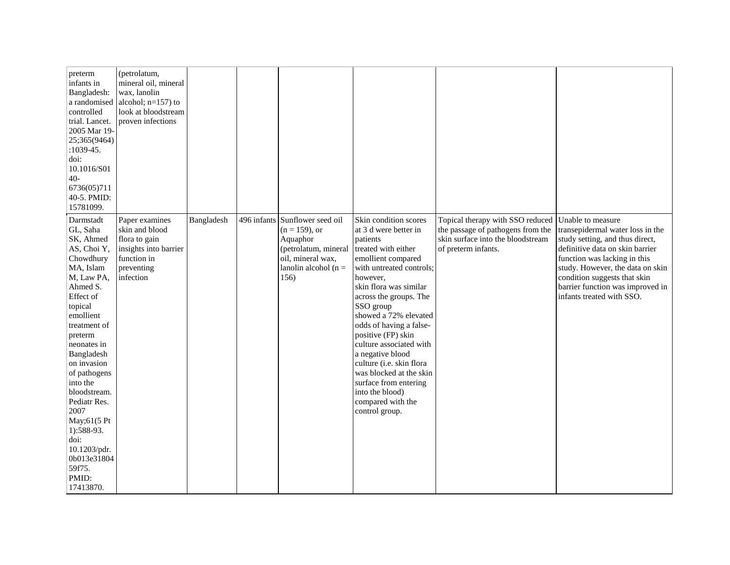| preterm<br>infants in<br>Bangladesh:<br>a randomised<br>controlled<br>trial. Lancet.<br>2005 Mar 19-<br>25;365(9464)<br>$:1039-45.$<br>doi:<br>10.1016/S01<br>$40-$<br>6736(05)711<br>40-5. PMID:<br>15781099.                                                                                                                                                                            | (petrolatum,<br>mineral oil, mineral<br>wax, lanolin<br>alcohol; $n=157$ ) to<br>look at bloodstream<br>proven infections |            |             |                                                                                                                                    |                                                                                                                                                                                                                                                                                                                                                                                                                                                                                     |                                                                                                                                   |                                                                                                                                                                                                                                                                                                  |
|-------------------------------------------------------------------------------------------------------------------------------------------------------------------------------------------------------------------------------------------------------------------------------------------------------------------------------------------------------------------------------------------|---------------------------------------------------------------------------------------------------------------------------|------------|-------------|------------------------------------------------------------------------------------------------------------------------------------|-------------------------------------------------------------------------------------------------------------------------------------------------------------------------------------------------------------------------------------------------------------------------------------------------------------------------------------------------------------------------------------------------------------------------------------------------------------------------------------|-----------------------------------------------------------------------------------------------------------------------------------|--------------------------------------------------------------------------------------------------------------------------------------------------------------------------------------------------------------------------------------------------------------------------------------------------|
| Darmstadt<br>GL, Saha<br>SK, Ahmed<br>AS, Choi Y,<br>Chowdhury<br>MA, Islam<br>M, Law PA,<br>Ahmed S.<br>Effect of<br>topical<br>emollient<br>treatment of<br>preterm<br>neonates in<br>Bangladesh<br>on invasion<br>of pathogens<br>into the<br>bloodstream.<br>Pediatr Res.<br>2007<br>May;61(5 Pt<br>1):588-93.<br>doi:<br>10.1203/pdr.<br>0b013e31804<br>59f75.<br>PMID:<br>17413870. | Paper examines<br>skin and blood<br>flora to gain<br>insights into barrier<br>function in<br>preventing<br>infection      | Bangladesh | 496 infants | Sunflower seed oil<br>$(n = 159)$ , or<br>Aquaphor<br>(petrolatum, mineral<br>oil, mineral wax,<br>lanolin alcohol ( $n =$<br>156) | Skin condition scores<br>at 3 d were better in<br>patients<br>treated with either<br>emollient compared<br>with untreated controls;<br>however,<br>skin flora was similar<br>across the groups. The<br>SSO group<br>showed a 72% elevated<br>odds of having a false-<br>positive (FP) skin<br>culture associated with<br>a negative blood<br>culture (i.e. skin flora<br>was blocked at the skin<br>surface from entering<br>into the blood)<br>compared with the<br>control group. | Topical therapy with SSO reduced<br>the passage of pathogens from the<br>skin surface into the bloodstream<br>of preterm infants. | Unable to measure<br>transepidermal water loss in the<br>study setting, and thus direct,<br>definitive data on skin barrier<br>function was lacking in this<br>study. However, the data on skin<br>condition suggests that skin<br>barrier function was improved in<br>infants treated with SSO. |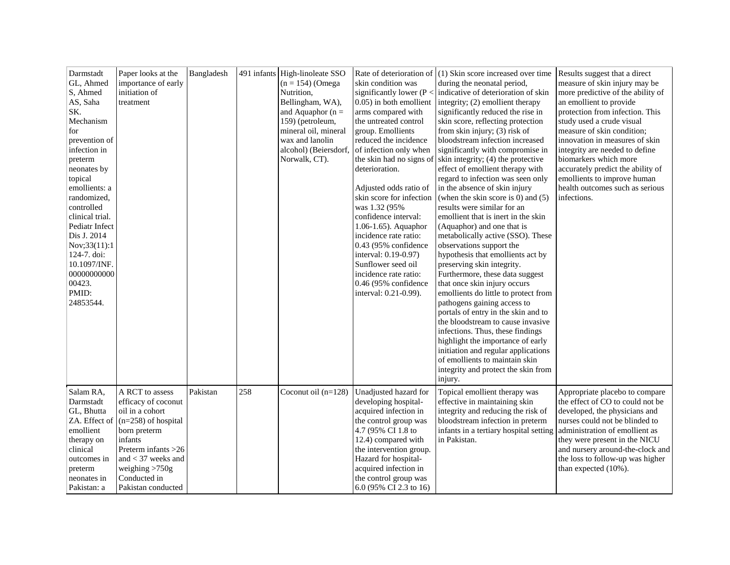| Darmstadt<br>GL, Ahmed<br>S, Ahmed<br>AS, Saha<br>SK.<br>Mechanism<br>for<br>prevention of<br>infection in<br>preterm<br>neonates by<br>topical<br>emollients: a<br>randomized,<br>controlled<br>clinical trial.<br>Pediatr Infect<br>Dis J. 2014<br>Nov;33(11):1<br>124-7. doi:<br>10.1097/INF.<br>00000000000<br>00423.<br>PMID:<br>24853544. | Paper looks at the<br>importance of early<br>initiation of<br>treatment                                                                                                                                                  | Bangladesh |     | 491 infants High-linoleate SSO<br>$(n = 154)$ (Omega<br>Nutrition,<br>Bellingham, WA),<br>and Aquaphor ( $n =$<br>159) (petroleum,<br>mineral oil, mineral<br>wax and lanolin<br>alcohol) (Beiersdorf,<br>Norwalk, CT). | skin condition was<br>significantly lower ( $P <$<br>0.05) in both emollient<br>arms compared with<br>the untreated control<br>group. Emollients<br>reduced the incidence<br>of infection only when<br>the skin had no signs of<br>deterioration.<br>Adjusted odds ratio of<br>skin score for infection<br>was 1.32 (95%<br>confidence interval:<br>$1.06-1.65$ ). Aquaphor<br>incidence rate ratio:<br>0.43 (95% confidence<br>interval: 0.19-0.97)<br>Sunflower seed oil<br>incidence rate ratio:<br>$0.46$ (95% confidence<br>interval: 0.21-0.99). | Rate of deterioration of $(1)$ Skin score increased over time<br>during the neonatal period,<br>indicative of deterioration of skin<br>integrity; (2) emollient therapy<br>significantly reduced the rise in<br>skin score, reflecting protection<br>from skin injury; (3) risk of<br>bloodstream infection increased<br>significantly with compromise in<br>skin integrity; (4) the protective<br>effect of emollient therapy with<br>regard to infection was seen only<br>in the absence of skin injury<br>(when the skin score is $0$ ) and $(5)$<br>results were similar for an<br>emollient that is inert in the skin<br>(Aquaphor) and one that is<br>metabolically active (SSO). These<br>observations support the<br>hypothesis that emollients act by<br>preserving skin integrity.<br>Furthermore, these data suggest<br>that once skin injury occurs<br>emollients do little to protect from<br>pathogens gaining access to<br>portals of entry in the skin and to<br>the bloodstream to cause invasive<br>infections. Thus, these findings<br>highlight the importance of early<br>initiation and regular applications<br>of emollients to maintain skin<br>integrity and protect the skin from<br>injury. | Results suggest that a direct<br>measure of skin injury may be<br>more predictive of the ability of<br>an emollient to provide<br>protection from infection. This<br>study used a crude visual<br>measure of skin condition;<br>innovation in measures of skin<br>integrity are needed to define<br>biomarkers which more<br>accurately predict the ability of<br>emollients to improve human<br>health outcomes such as serious<br>infections. |
|-------------------------------------------------------------------------------------------------------------------------------------------------------------------------------------------------------------------------------------------------------------------------------------------------------------------------------------------------|--------------------------------------------------------------------------------------------------------------------------------------------------------------------------------------------------------------------------|------------|-----|-------------------------------------------------------------------------------------------------------------------------------------------------------------------------------------------------------------------------|--------------------------------------------------------------------------------------------------------------------------------------------------------------------------------------------------------------------------------------------------------------------------------------------------------------------------------------------------------------------------------------------------------------------------------------------------------------------------------------------------------------------------------------------------------|------------------------------------------------------------------------------------------------------------------------------------------------------------------------------------------------------------------------------------------------------------------------------------------------------------------------------------------------------------------------------------------------------------------------------------------------------------------------------------------------------------------------------------------------------------------------------------------------------------------------------------------------------------------------------------------------------------------------------------------------------------------------------------------------------------------------------------------------------------------------------------------------------------------------------------------------------------------------------------------------------------------------------------------------------------------------------------------------------------------------------------------------------------------------------------------------------------------------|-------------------------------------------------------------------------------------------------------------------------------------------------------------------------------------------------------------------------------------------------------------------------------------------------------------------------------------------------------------------------------------------------------------------------------------------------|
| Salam RA,<br>Darmstadt<br>GL, Bhutta<br>ZA. Effect of<br>emollient<br>therapy on<br>clinical<br>outcomes in<br>preterm<br>neonates in<br>Pakistan: a                                                                                                                                                                                            | A RCT to assess<br>efficacy of coconut<br>oil in a cohort<br>$(n=258)$ of hospital<br>born preterm<br>infants<br>Preterm infants $>26$<br>and $<$ 37 weeks and<br>weighing $>750g$<br>Conducted in<br>Pakistan conducted | Pakistan   | 258 | Coconut oil $(n=128)$                                                                                                                                                                                                   | Unadjusted hazard for<br>developing hospital-<br>acquired infection in<br>the control group was<br>4.7 (95% CI 1.8 to<br>12.4) compared with<br>the intervention group.<br>Hazard for hospital-<br>acquired infection in<br>the control group was<br>6.0 (95% CI 2.3 to 16)                                                                                                                                                                                                                                                                            | Topical emollient therapy was<br>effective in maintaining skin<br>integrity and reducing the risk of<br>bloodstream infection in preterm<br>infants in a tertiary hospital setting<br>in Pakistan.                                                                                                                                                                                                                                                                                                                                                                                                                                                                                                                                                                                                                                                                                                                                                                                                                                                                                                                                                                                                                     | Appropriate placebo to compare<br>the effect of CO to could not be<br>developed, the physicians and<br>nurses could not be blinded to<br>administration of emollient as<br>they were present in the NICU<br>and nursery around-the-clock and<br>the loss to follow-up was higher<br>than expected (10%).                                                                                                                                        |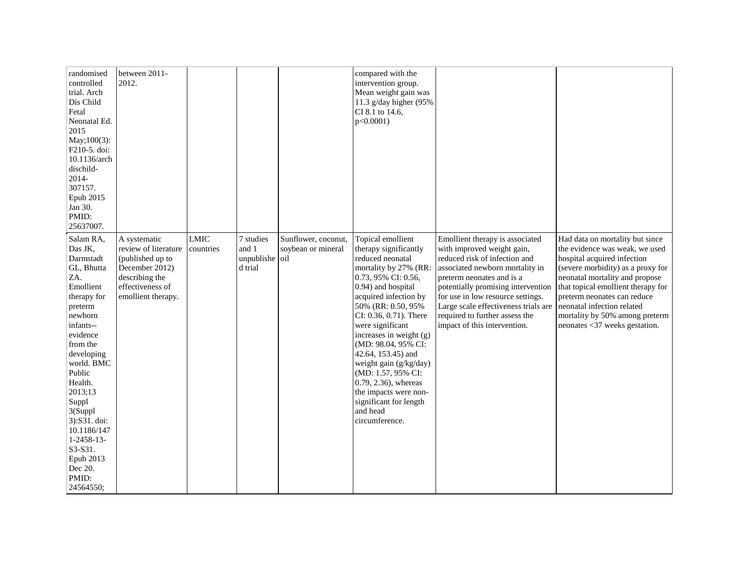| randomised<br>controlled<br>trial. Arch<br>Dis Child<br>Fetal<br>Neonatal Ed.<br>2015<br>May;100(3):<br>F210-5. doi:<br>10.1136/arch<br>dischild-<br>2014-<br>307157.<br>Epub 2015<br>Jan 30.<br>PMID:<br>25637007.                                                                                                                      | between 2011-<br>2012.                                                                                                                 |                          |                                             |                                                  | compared with the<br>intervention group.<br>Mean weight gain was<br>11.3 g/day higher $(95\%$<br>CI 8.1 to 14.6,<br>$p<0.0001$ )                                                                                                                                                                                                                                                                                                                                   |                                                                                                                                                                                                                                                                                                                                                     |                                                                                                                                                                                                                                                                                                                                               |
|------------------------------------------------------------------------------------------------------------------------------------------------------------------------------------------------------------------------------------------------------------------------------------------------------------------------------------------|----------------------------------------------------------------------------------------------------------------------------------------|--------------------------|---------------------------------------------|--------------------------------------------------|--------------------------------------------------------------------------------------------------------------------------------------------------------------------------------------------------------------------------------------------------------------------------------------------------------------------------------------------------------------------------------------------------------------------------------------------------------------------|-----------------------------------------------------------------------------------------------------------------------------------------------------------------------------------------------------------------------------------------------------------------------------------------------------------------------------------------------------|-----------------------------------------------------------------------------------------------------------------------------------------------------------------------------------------------------------------------------------------------------------------------------------------------------------------------------------------------|
| Salam RA,<br>Das JK,<br>Darmstadt<br>GL, Bhutta<br>ZA.<br>Emollient<br>therapy for<br>preterm<br>newborn<br>infants--<br>evidence<br>from the<br>developing<br>world. BMC<br>Public<br>Health.<br>2013;13<br>Suppl<br>3(Suppl<br>3):S31. doi:<br>10.1186/147<br>$1 - 2458 - 13$<br>S3-S31.<br>Epub 2013<br>Dec 20.<br>PMID:<br>24564550; | A systematic<br>review of literature<br>(published up to<br>December 2012)<br>describing the<br>effectiveness of<br>emollient therapy. | <b>LMIC</b><br>countries | 7 studies<br>and 1<br>unpublishe<br>d trial | Sunflower, coconut,<br>soybean or mineral<br>oil | Topical emollient<br>therapy significantly<br>reduced neonatal<br>mortality by 27% (RR:<br>0.73, 95% CI: 0.56,<br>0.94) and hospital<br>acquired infection by<br>50% (RR: 0.50, 95%<br>CI: 0.36, 0.71). There<br>were significant<br>increases in weight (g)<br>(MD: 98.04, 95% CI:<br>42.64, 153.45) and<br>weight gain (g/kg/day)<br>(MD: 1.57, 95% CI:<br>0.79, 2.36), whereas<br>the impacts were non-<br>significant for length<br>and head<br>circumference. | Emollient therapy is associated<br>with improved weight gain,<br>reduced risk of infection and<br>associated newborn mortality in<br>preterm neonates and is a<br>potentially promising intervention<br>for use in low resource settings.<br>Large scale effectiveness trials are<br>required to further assess the<br>impact of this intervention. | Had data on mortality but since<br>the evidence was weak, we used<br>hospital acquired infection<br>(severe morbidity) as a proxy for<br>neonatal mortality and propose<br>that topical emollient therapy for<br>preterm neonates can reduce<br>neonatal infection related<br>mortality by 50% among preterm<br>neonates <37 weeks gestation. |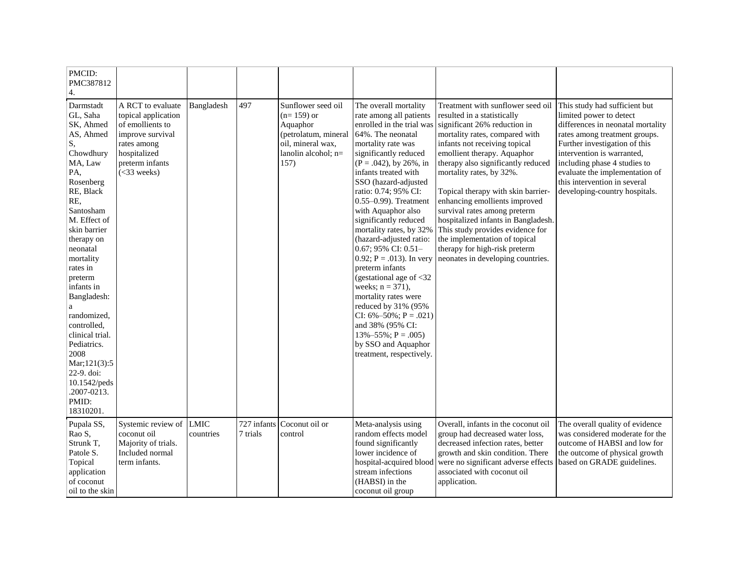| PMCID:<br>PMC387812<br>4.                                                                                                                                                                                                                                                                                                                                                                                                |                                                                                                                                                      |                          |                         |                                                                                                                            |                                                                                                                                                                                                                                                                                                                                                                                                                                                                                                                                                                                                                                                                                                          |                                                                                                                                                                                                                                                                                                                                                                                                                                                                                                                                                               |                                                                                                                                                                                                                                                                                                                                  |
|--------------------------------------------------------------------------------------------------------------------------------------------------------------------------------------------------------------------------------------------------------------------------------------------------------------------------------------------------------------------------------------------------------------------------|------------------------------------------------------------------------------------------------------------------------------------------------------|--------------------------|-------------------------|----------------------------------------------------------------------------------------------------------------------------|----------------------------------------------------------------------------------------------------------------------------------------------------------------------------------------------------------------------------------------------------------------------------------------------------------------------------------------------------------------------------------------------------------------------------------------------------------------------------------------------------------------------------------------------------------------------------------------------------------------------------------------------------------------------------------------------------------|---------------------------------------------------------------------------------------------------------------------------------------------------------------------------------------------------------------------------------------------------------------------------------------------------------------------------------------------------------------------------------------------------------------------------------------------------------------------------------------------------------------------------------------------------------------|----------------------------------------------------------------------------------------------------------------------------------------------------------------------------------------------------------------------------------------------------------------------------------------------------------------------------------|
| Darmstadt<br>GL, Saha<br>SK, Ahmed<br>AS, Ahmed<br>S,<br>Chowdhury<br>MA, Law<br>PA,<br>Rosenberg<br>RE, Black<br>RE,<br>Santosham<br>M. Effect of<br>skin barrier<br>therapy on<br>neonatal<br>mortality<br>rates in<br>preterm<br>infants in<br>Bangladesh:<br>randomized,<br>controlled,<br>clinical trial.<br>Pediatrics.<br>2008<br>Mar;121(3):5<br>22-9. doi:<br>10.1542/peds<br>.2007-0213.<br>PMID:<br>18310201. | A RCT to evaluate<br>topical application<br>of emollients to<br>improve survival<br>rates among<br>hospitalized<br>preterm infants<br>$(<$ 33 weeks) | Bangladesh               | 497                     | Sunflower seed oil<br>$(n=159)$ or<br>Aquaphor<br>(petrolatum, mineral<br>oil, mineral wax,<br>lanolin alcohol; n=<br>157) | The overall mortality<br>rate among all patients<br>enrolled in the trial was<br>64%. The neonatal<br>mortality rate was<br>significantly reduced<br>$(P = .042)$ , by 26%, in<br>infants treated with<br>SSO (hazard-adjusted<br>ratio: 0.74; 95% CI:<br>$0.55-0.99$ ). Treatment<br>with Aquaphor also<br>significantly reduced<br>mortality rates, by 32%<br>(hazard-adjusted ratio:<br>0.67; 95% CI: 0.51-<br>0.92; $P = .013$ ). In very<br>preterm infants<br>(gestational age of $<$ 32<br>weeks; $n = 371$ ),<br>mortality rates were<br>reduced by 31% (95%<br>CI: $6\% - 50\%$ ; P = .021)<br>and 38% (95% CI:<br>$13\% - 55\%$ ; P = .005)<br>by SSO and Aquaphor<br>treatment, respectively. | Treatment with sunflower seed oil<br>resulted in a statistically<br>significant 26% reduction in<br>mortality rates, compared with<br>infants not receiving topical<br>emollient therapy. Aquaphor<br>therapy also significantly reduced<br>mortality rates, by 32%.<br>Topical therapy with skin barrier-<br>enhancing emollients improved<br>survival rates among preterm<br>hospitalized infants in Bangladesh.<br>This study provides evidence for<br>the implementation of topical<br>therapy for high-risk preterm<br>neonates in developing countries. | This study had sufficient but<br>limited power to detect<br>differences in neonatal mortality<br>rates among treatment groups.<br>Further investigation of this<br>intervention is warranted,<br>including phase 4 studies to<br>evaluate the implementation of<br>this intervention in several<br>developing-country hospitals. |
| Pupala SS,<br>Rao S,<br>Strunk T,<br>Patole S.<br>Topical<br>application<br>of coconut<br>oil to the skin                                                                                                                                                                                                                                                                                                                | Systemic review of<br>coconut oil<br>Majority of trials.<br>Included normal<br>term infants.                                                         | <b>LMIC</b><br>countries | 727 infants<br>7 trials | Coconut oil or<br>control                                                                                                  | Meta-analysis using<br>random effects model<br>found significantly<br>lower incidence of<br>hospital-acquired blood<br>stream infections<br>(HABSI) in the<br>coconut oil group                                                                                                                                                                                                                                                                                                                                                                                                                                                                                                                          | Overall, infants in the coconut oil<br>group had decreased water loss,<br>decreased infection rates, better<br>growth and skin condition. There<br>were no significant adverse effects<br>associated with coconut oil<br>application.                                                                                                                                                                                                                                                                                                                         | The overall quality of evidence<br>was considered moderate for the<br>outcome of HABSI and low for<br>the outcome of physical growth<br>based on GRADE guidelines.                                                                                                                                                               |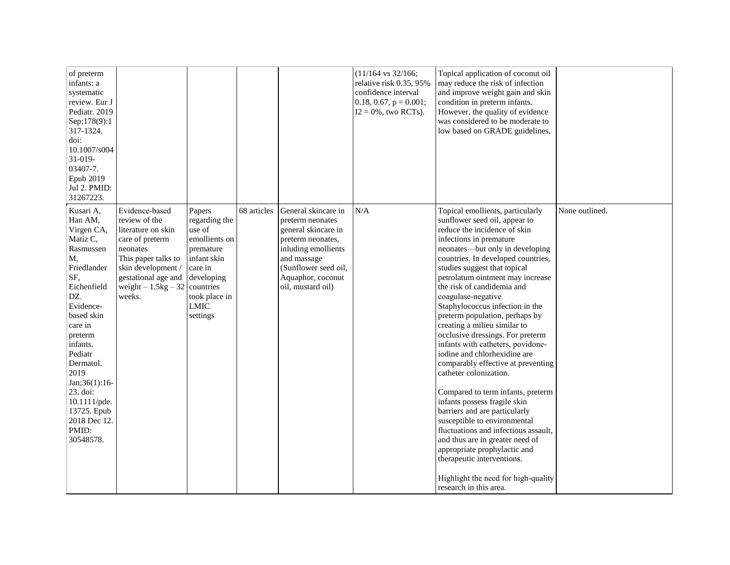| of preterm<br>infants: a<br>systematic<br>review. Eur J<br>Pediatr. 2019<br>Sep;178(9):1<br>317-1324.<br>doi:<br>10.1007/s004<br>$31-019-$<br>03407-7.<br>Epub 2019<br>Jul 2. PMID:<br>31267223.                                                                                                                |                                                                                                                                                                                                       |                                                                                                                                                     |             |                                                                                                                                                                                             | $(11/164 \text{ vs } 32/166)$ ;<br>relative risk 0.35, 95%<br>confidence interval<br>0.18, 0.67, $p = 0.001$ ;<br>$I2 = 0\%$ , two RCTs). | Topical application of coconut oil<br>may reduce the risk of infection<br>and improve weight gain and skin<br>condition in preterm infants.<br>However, the quality of evidence<br>was considered to be moderate to<br>low based on GRADE guidelines.                                                                                                                                                                                                                                                                                                                                                                                                                                                                                                                                                                                                                                                                                                       |                |
|-----------------------------------------------------------------------------------------------------------------------------------------------------------------------------------------------------------------------------------------------------------------------------------------------------------------|-------------------------------------------------------------------------------------------------------------------------------------------------------------------------------------------------------|-----------------------------------------------------------------------------------------------------------------------------------------------------|-------------|---------------------------------------------------------------------------------------------------------------------------------------------------------------------------------------------|-------------------------------------------------------------------------------------------------------------------------------------------|-------------------------------------------------------------------------------------------------------------------------------------------------------------------------------------------------------------------------------------------------------------------------------------------------------------------------------------------------------------------------------------------------------------------------------------------------------------------------------------------------------------------------------------------------------------------------------------------------------------------------------------------------------------------------------------------------------------------------------------------------------------------------------------------------------------------------------------------------------------------------------------------------------------------------------------------------------------|----------------|
| Kusari A,<br>Han AM,<br>Virgen CA,<br>Matiz C,<br>Rasmussen<br>M,<br>Friedlander<br>SF,<br>Eichenfield<br>DZ.<br>Evidence-<br>based skin<br>care in<br>preterm<br>infants.<br>Pediatr<br>Dermatol.<br>2019<br>Jan;36(1):16-<br>23. doi:<br>$10.1111$ /pde.<br>13725. Epub<br>2018 Dec 12.<br>PMID:<br>30548578. | Evidence-based<br>review of the<br>literature on skin<br>care of preterm<br>neonates<br>This paper talks to<br>skin development/<br>gestational age and<br>weight $-1.5$ kg $-32$ countries<br>weeks. | Papers<br>regarding the<br>use of<br>emollients on<br>premature<br>infant skin<br>care in<br>developing<br>took place in<br><b>LMIC</b><br>settings | 68 articles | General skincare in<br>preterm neonates<br>general skincare in<br>preterm neonates,<br>inluding emollients<br>and massage<br>(Sunflower seed oil,<br>Aquaphor, coconut<br>oil, mustard oil) | N/A                                                                                                                                       | Topical emollients, particularly<br>sunflower seed oil, appear to<br>reduce the incidence of skin<br>infections in premature<br>neonates-but only in developing<br>countries. In developed countries,<br>studies suggest that topical<br>petrolatum ointment may increase<br>the risk of candidemia and<br>coagulase-negative<br>Staphylococcus infection in the<br>preterm population, perhaps by<br>creating a milieu similar to<br>occlusive dressings. For preterm<br>infants with catheters, povidone-<br>iodine and chlorhexidine are<br>comparably effective at preventing<br>catheter colonization.<br>Compared to term infants, preterm<br>infants possess fragile skin<br>barriers and are particularly<br>susceptible to environmental<br>fluctuations and infectious assault,<br>and thus are in greater need of<br>appropriate prophylactic and<br>therapeutic interventions.<br>Highlight the need for high-quality<br>research in this area. | None outlined. |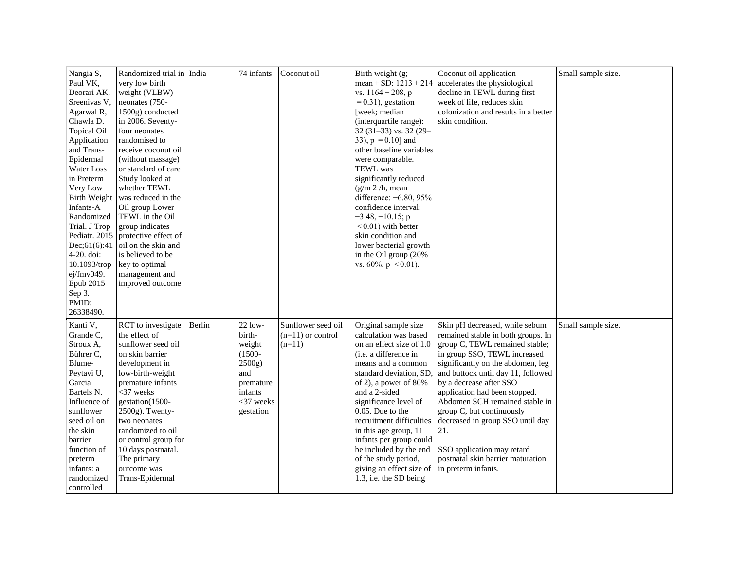| Nangia S,<br>Paul VK,<br>Deorari AK,<br>Sreenivas V,<br>Agarwal R,<br>Chawla D.<br><b>Topical Oil</b><br>Application<br>and Trans-<br>Epidermal<br>Water Loss<br>in Preterm<br>Very Low<br><b>Birth Weight</b><br>Infants-A<br>Randomized<br>Trial. J Trop<br>Pediatr. 2015<br>Dec: 61(6): 41<br>$4-20$ . doi:<br>$10.1093$ /trop<br>ej/fmv049.<br>Epub 2015<br>Sep 3.<br>PMID:<br>26338490. | Randomized trial in India<br>very low birth<br>weight (VLBW)<br>neonates (750-<br>1500g) conducted<br>in 2006. Seventy-<br>four neonates<br>randomised to<br>receive coconut oil<br>(without massage)<br>or standard of care<br>Study looked at<br>whether TEWL<br>was reduced in the<br>Oil group Lower<br>TEWL in the Oil<br>group indicates<br>protective effect of<br>oil on the skin and<br>is believed to be<br>key to optimal<br>management and<br>improved outcome |        | 74 infants                                                                                                       | Coconut oil                                           | Birth weight (g;<br>mean $\pm$ SD: 1213 + 214<br>vs. $1164 + 208$ , p<br>$= 0.31$ , gestation<br>[week; median<br>(interquartile range):<br>32 (31-33) vs. 32 (29-<br>33), $p = 0.10$ and<br>other baseline variables<br>were comparable.<br>TEWL was<br>significantly reduced<br>(g/m 2/h, mean)<br>difference: -6.80, 95%<br>confidence interval:<br>$-3.48, -10.15; p$<br>$< 0.01$ ) with better<br>skin condition and<br>lower bacterial growth<br>in the Oil group (20%<br>vs. $60\%, p < 0.01$ ). | Coconut oil application<br>accelerates the physiological<br>decline in TEWL during first<br>week of life, reduces skin<br>colonization and results in a better<br>skin condition.                                                                                                                                                                                                                                                                                                 | Small sample size. |
|----------------------------------------------------------------------------------------------------------------------------------------------------------------------------------------------------------------------------------------------------------------------------------------------------------------------------------------------------------------------------------------------|----------------------------------------------------------------------------------------------------------------------------------------------------------------------------------------------------------------------------------------------------------------------------------------------------------------------------------------------------------------------------------------------------------------------------------------------------------------------------|--------|------------------------------------------------------------------------------------------------------------------|-------------------------------------------------------|---------------------------------------------------------------------------------------------------------------------------------------------------------------------------------------------------------------------------------------------------------------------------------------------------------------------------------------------------------------------------------------------------------------------------------------------------------------------------------------------------------|-----------------------------------------------------------------------------------------------------------------------------------------------------------------------------------------------------------------------------------------------------------------------------------------------------------------------------------------------------------------------------------------------------------------------------------------------------------------------------------|--------------------|
| Kanti V,<br>Grande C.<br>Stroux A,<br>Bührer C,<br>Blume-<br>Peytavi U,<br>Garcia<br>Bartels N.<br>Influence of<br>sunflower<br>seed oil on<br>the skin<br>barrier<br>function of<br>preterm<br>infants: a<br>randomized<br>controlled                                                                                                                                                       | RCT to investigate<br>the effect of<br>sunflower seed oil<br>on skin barrier<br>development in<br>low-birth-weight<br>premature infants<br>$<$ 37 weeks<br>gestation(1500-<br>2500g). Twenty-<br>two neonates<br>randomized to oil<br>or control group for<br>10 days postnatal.<br>The primary<br>outcome was<br>Trans-Epidermal                                                                                                                                          | Berlin | $22$ low-<br>birth-<br>weight<br>$(1500 -$<br>2500g)<br>and<br>premature<br>infants<br>$<$ 37 weeks<br>gestation | Sunflower seed oil<br>$(n=11)$ or control<br>$(n=11)$ | Original sample size<br>calculation was based<br>on an effect size of 1.0<br>(i.e. a difference in<br>means and a common<br>standard deviation, SD,<br>of 2), a power of 80%<br>and a 2-sided<br>significance level of<br>0.05. Due to the<br>recruitment difficulties<br>in this age group, 11<br>infants per group could<br>be included by the end<br>of the study period,<br>giving an effect size of<br>1.3, i.e. the SD being                                                                      | Skin pH decreased, while sebum<br>remained stable in both groups. In<br>group C, TEWL remained stable;<br>in group SSO, TEWL increased<br>significantly on the abdomen, leg<br>and buttock until day 11, followed<br>by a decrease after SSO<br>application had been stopped.<br>Abdomen SCH remained stable in<br>group C, but continuously<br>decreased in group SSO until day<br>21.<br>SSO application may retard<br>postnatal skin barrier maturation<br>in preterm infants. | Small sample size. |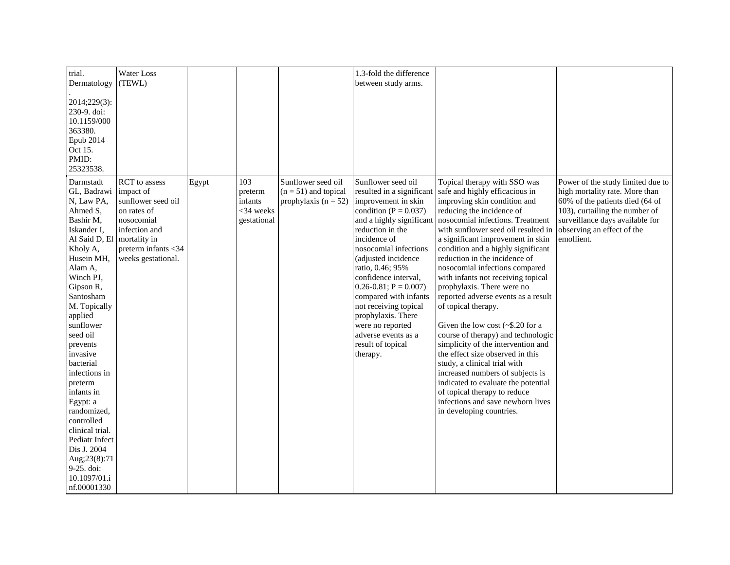| trial.<br>Dermatology<br>2014;229(3):<br>230-9. doi:<br>10.1159/000<br>363380.<br>Epub 2014<br>Oct 15.<br>PMID:<br>25323538.                                                                                                                                                                                                                                                                                                                                             | Water Loss<br>(TEWL)                                                                                                                                        |       |                                                         |                                                                          | 1.3-fold the difference<br>between study arms.                                                                                                                                                                                                                                                                                                                                                                                                    |                                                                                                                                                                                                                                                                                                                                                                                                                                                                                                                                                                                                                                                                                                                                                                                                                                                              |                                                                                                                                                                                                                         |
|--------------------------------------------------------------------------------------------------------------------------------------------------------------------------------------------------------------------------------------------------------------------------------------------------------------------------------------------------------------------------------------------------------------------------------------------------------------------------|-------------------------------------------------------------------------------------------------------------------------------------------------------------|-------|---------------------------------------------------------|--------------------------------------------------------------------------|---------------------------------------------------------------------------------------------------------------------------------------------------------------------------------------------------------------------------------------------------------------------------------------------------------------------------------------------------------------------------------------------------------------------------------------------------|--------------------------------------------------------------------------------------------------------------------------------------------------------------------------------------------------------------------------------------------------------------------------------------------------------------------------------------------------------------------------------------------------------------------------------------------------------------------------------------------------------------------------------------------------------------------------------------------------------------------------------------------------------------------------------------------------------------------------------------------------------------------------------------------------------------------------------------------------------------|-------------------------------------------------------------------------------------------------------------------------------------------------------------------------------------------------------------------------|
| Darmstadt<br>GL, Badrawi<br>N, Law PA,<br>Ahmed S.<br>Bashir M,<br>Iskander I,<br>Al Said D, El<br>Kholy A,<br>Husein MH,<br>Alam A,<br>Winch PJ,<br>Gipson R,<br>Santosham<br>M. Topically<br>applied<br>sunflower<br>seed oil<br>prevents<br>invasive<br>bacterial<br>infections in<br>preterm<br>infants in<br>Egypt: a<br>randomized,<br>controlled<br>clinical trial.<br>Pediatr Infect<br>Dis J. 2004<br>Aug;23(8):71<br>9-25. doi:<br>10.1097/01.i<br>nf.00001330 | RCT to assess<br>impact of<br>sunflower seed oil<br>on rates of<br>nosocomial<br>infection and<br>mortality in<br>preterm infants <34<br>weeks gestational. | Egypt | 103<br>preterm<br>infants<br>$<34$ weeks<br>gestational | Sunflower seed oil<br>$(n = 51)$ and topical<br>prophylaxis ( $n = 52$ ) | Sunflower seed oil<br>resulted in a significant<br>improvement in skin<br>condition ( $P = 0.037$ )<br>and a highly significant<br>reduction in the<br>incidence of<br>nosocomial infections<br>(adjusted incidence<br>ratio, 0.46; 95%<br>confidence interval,<br>$0.26 - 0.81$ ; P = 0.007)<br>compared with infants<br>not receiving topical<br>prophylaxis. There<br>were no reported<br>adverse events as a<br>result of topical<br>therapy. | Topical therapy with SSO was<br>safe and highly efficacious in<br>improving skin condition and<br>reducing the incidence of<br>nosocomial infections. Treatment<br>with sunflower seed oil resulted in<br>a significant improvement in skin<br>condition and a highly significant<br>reduction in the incidence of<br>nosocomial infections compared<br>with infants not receiving topical<br>prophylaxis. There were no<br>reported adverse events as a result<br>of topical therapy.<br>Given the low cost $(\sim$ \$.20 for a<br>course of therapy) and technologic<br>simplicity of the intervention and<br>the effect size observed in this<br>study, a clinical trial with<br>increased numbers of subjects is<br>indicated to evaluate the potential<br>of topical therapy to reduce<br>infections and save newborn lives<br>in developing countries. | Power of the study limited due to<br>high mortality rate. More than<br>60% of the patients died (64 of<br>103), curtailing the number of<br>surveillance days available for<br>observing an effect of the<br>emollient. |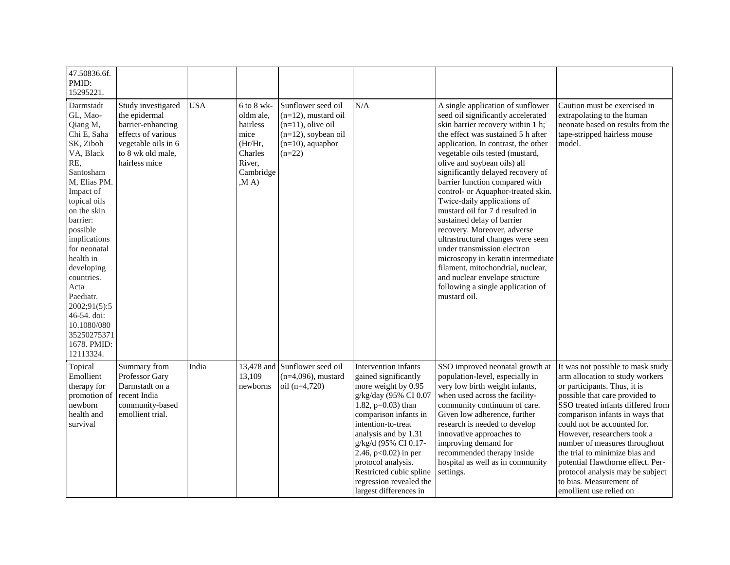| 47.50836.6f.<br>PMID:<br>15295221.                                                                                                                                                                                                                                                                                                                                        |                                                                                                                                             |            |                                                                                                       |                                                                                                                                   |                                                                                                                                                                                                                                                                                                                                                    |                                                                                                                                                                                                                                                                                                                                                                                                                                                                                                                                                                                                                                                                                                                                               |                                                                                                                                                                                                                                                                                                                                                                                                                                                                               |
|---------------------------------------------------------------------------------------------------------------------------------------------------------------------------------------------------------------------------------------------------------------------------------------------------------------------------------------------------------------------------|---------------------------------------------------------------------------------------------------------------------------------------------|------------|-------------------------------------------------------------------------------------------------------|-----------------------------------------------------------------------------------------------------------------------------------|----------------------------------------------------------------------------------------------------------------------------------------------------------------------------------------------------------------------------------------------------------------------------------------------------------------------------------------------------|-----------------------------------------------------------------------------------------------------------------------------------------------------------------------------------------------------------------------------------------------------------------------------------------------------------------------------------------------------------------------------------------------------------------------------------------------------------------------------------------------------------------------------------------------------------------------------------------------------------------------------------------------------------------------------------------------------------------------------------------------|-------------------------------------------------------------------------------------------------------------------------------------------------------------------------------------------------------------------------------------------------------------------------------------------------------------------------------------------------------------------------------------------------------------------------------------------------------------------------------|
| Darmstadt<br>GL, Mao-<br>Qiang M,<br>Chi E, Saha<br>SK, Ziboh<br>VA, Black<br>RE,<br>Santosham<br>M, Elias PM.<br>Impact of<br>topical oils<br>on the skin<br>barrier:<br>possible<br>implications<br>for neonatal<br>health in<br>developing<br>countries.<br>Acta<br>Paediatr.<br>2002;91(5):5<br>46-54. doi:<br>10.1080/080<br>35250275371<br>1678. PMID:<br>12113324. | Study investigated<br>the epidermal<br>barrier-enhancing<br>effects of various<br>vegetable oils in 6<br>to 8 wk old male,<br>hairless mice | <b>USA</b> | $6$ to $8$ wk-<br>oldm ale,<br>hairless<br>mice<br>(Hr/Hr,<br>Charles<br>River,<br>Cambridge<br>, MA) | Sunflower seed oil<br>$(n=12)$ , mustard oil<br>$(n=11)$ , olive oil<br>$(n=12)$ , soybean oil<br>$(n=10)$ , aquaphor<br>$(n=22)$ | N/A                                                                                                                                                                                                                                                                                                                                                | A single application of sunflower<br>seed oil significantly accelerated<br>skin barrier recovery within 1 h;<br>the effect was sustained 5 h after<br>application. In contrast, the other<br>vegetable oils tested (mustard,<br>olive and soybean oils) all<br>significantly delayed recovery of<br>barrier function compared with<br>control- or Aquaphor-treated skin.<br>Twice-daily applications of<br>mustard oil for 7 d resulted in<br>sustained delay of barrier<br>recovery. Moreover, adverse<br>ultrastructural changes were seen<br>under transmission electron<br>microscopy in keratin intermediate<br>filament, mitochondrial, nuclear,<br>and nuclear envelope structure<br>following a single application of<br>mustard oil. | Caution must be exercised in<br>extrapolating to the human<br>neonate based on results from the<br>tape-stripped hairless mouse<br>model.                                                                                                                                                                                                                                                                                                                                     |
| Topical<br>Emollient<br>therapy for<br>promotion of<br>newborn<br>health and<br>survival                                                                                                                                                                                                                                                                                  | Summary from<br>Professor Gary<br>Darmstadt on a<br>recent India<br>community-based<br>emollient trial.                                     | India      | 13,478 and<br>13,109<br>newborns                                                                      | Sunflower seed oil<br>$(n=4,096)$ , mustard<br>oil $(n=4,720)$                                                                    | Intervention infants<br>gained significantly<br>more weight by 0.95<br>g/kg/day (95% CI 0.07<br>1.82, $p=0.03$ ) than<br>comparison infants in<br>intention-to-treat<br>analysis and by 1.31<br>g/kg/d (95% CI 0.17-<br>2.46, p<0.02) in per<br>protocol analysis.<br>Restricted cubic spline<br>regression revealed the<br>largest differences in | SSO improved neonatal growth at<br>population-level, especially in<br>very low birth weight infants,<br>when used across the facility-<br>community continuum of care.<br>Given low adherence, further<br>research is needed to develop<br>innovative approaches to<br>improving demand for<br>recommended therapy inside<br>hospital as well as in community<br>settings.                                                                                                                                                                                                                                                                                                                                                                    | It was not possible to mask study<br>arm allocation to study workers<br>or participants. Thus, it is<br>possible that care provided to<br>SSO treated infants differed from<br>comparison infants in ways that<br>could not be accounted for.<br>However, researchers took a<br>number of measures throughout<br>the trial to minimize bias and<br>potential Hawthorne effect. Per-<br>protocol analysis may be subject<br>to bias. Measurement of<br>emollient use relied on |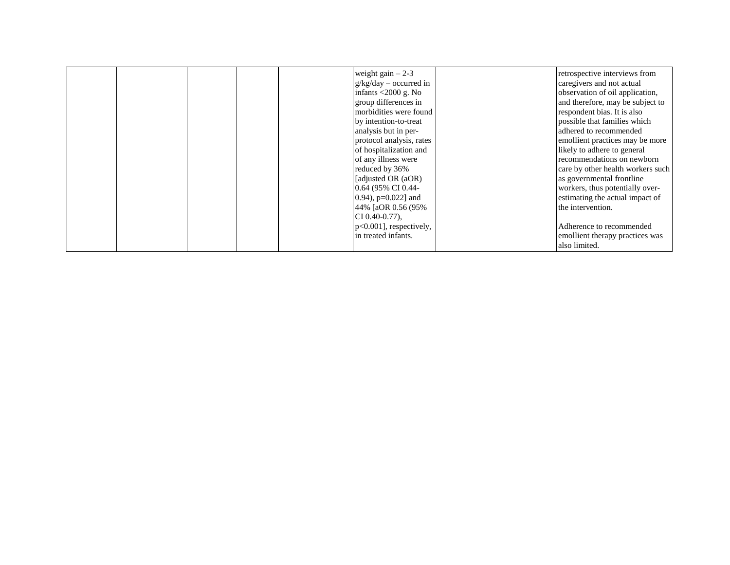|  |  | weight gain $-2-3$<br>$g/kg/day - occurred in$<br>infants $\langle 2000 \text{ g. No} \rangle$<br>group differences in<br>morbidities were found<br>by intention-to-treat<br>analysis but in per-<br>protocol analysis, rates<br>of hospitalization and<br>of any illness were<br>reduced by 36%<br>[adjusted OR (aOR)<br>0.64 (95% CI 0.44-<br>$[0.94)$ , p=0.022] and<br>44% [aOR 0.56 (95%<br>$CI\left(0.40 - 0.77\right)$ ,<br>p<0.001], respectively, | retrospective interviews from<br>caregivers and not actual<br>observation of oil application,<br>and therefore, may be subject to<br>respondent bias. It is also<br>possible that families which<br>adhered to recommended<br>emollient practices may be more<br>likely to adhere to general<br>recommendations on newborn<br>care by other health workers such<br>as governmental frontline<br>workers, thus potentially over-<br>estimating the actual impact of<br>the intervention.<br>Adherence to recommended |  |
|--|--|------------------------------------------------------------------------------------------------------------------------------------------------------------------------------------------------------------------------------------------------------------------------------------------------------------------------------------------------------------------------------------------------------------------------------------------------------------|---------------------------------------------------------------------------------------------------------------------------------------------------------------------------------------------------------------------------------------------------------------------------------------------------------------------------------------------------------------------------------------------------------------------------------------------------------------------------------------------------------------------|--|
|  |  | in treated infants.                                                                                                                                                                                                                                                                                                                                                                                                                                        | emollient therapy practices was<br>also limited.                                                                                                                                                                                                                                                                                                                                                                                                                                                                    |  |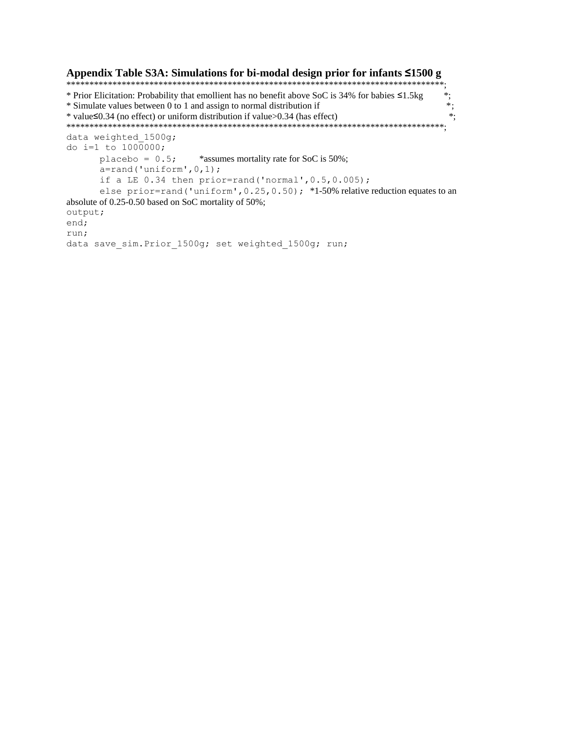#### Appendix Table S3A: Simulations for bi-modal design prior for infants <1500 g \* Prior Elicitation: Probability that emollient has no benefit above SoC is 34% for babies ≤1.5kg  $^{\ast}$  $^*$ \* Simulate values between 0 to 1 and assign to normal distribution if \* value  $\leq 0.34$  (no effect) or uniform distribution if value  $> 0.34$  (has effect)  $*$ : data weighted 1500g; do i=1 to  $1000000$ ; placebo =  $0.5$ ; \*assumes mortality rate for SoC is 50%;  $a=rand('uniform', 0, 1);$ if a LE  $0.34$  then prior=rand('normal',  $0.5$ ,  $0.005$ ); else prior=rand ('uniform', 0.25, 0.50); \*1-50% relative reduction equates to an absolute of 0.25-0.50 based on SoC mortality of 50%; output; end; run; data save sim. Prior 1500g; set weighted 1500g; run;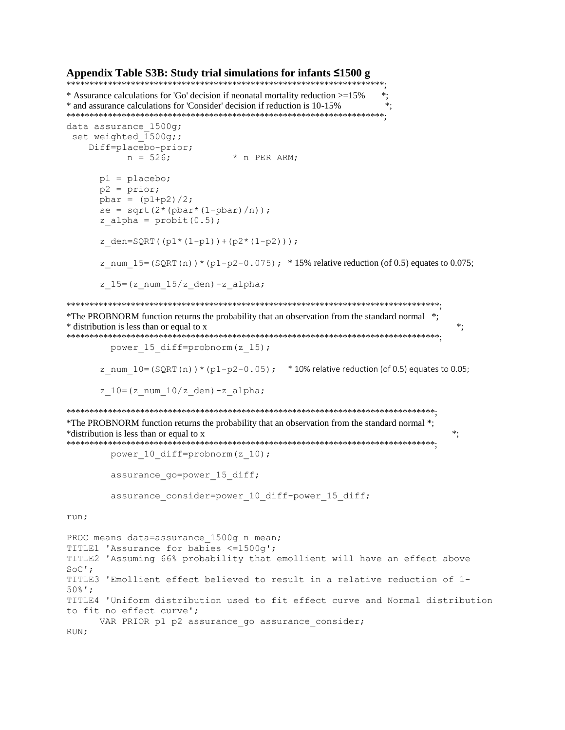#### Appendix Table S3B: Study trial simulations for infants  $\leq 1500$  g

\* Assurance calculations for 'Go' decision if neonatal mortality reduction >=15% \*.  $\ast$ : \* and assurance calculations for 'Consider' decision if reduction is 10-15% data assurance 1500g; set weighted  $1500q;$ Diff=placebo-prior;  $n = 526;$ \* n PER ARM;  $p1 =$ placebo;  $p2 = prior;$  $pbar = (p1+p2)/2;$  $se = sqrt(2*(pbar*(1-pbar)/n));$ z alpha =  $\text{probit}(0.5)$ ; z den=SQRT( $(p1*(1-p1))+(p2*(1-p2))$ ); z\_num\_15=(SQRT(n)) \* (p1-p2-0.075); \*15% relative reduction (of 0.5) equates to 0.075;  $z$  15=(z num 15/z den)-z alpha; \*The PROBNORM function returns the probability that an observation from the standard normal \*; \* distribution is less than or equal to x  $\ddot{\cdot}$ power 15 diff=probnorm(z 15); z num  $10 = (SQRT(n)) * (p1-p2-0.05)$ ; \* 10% relative reduction (of 0.5) equates to 0.05; z  $10 = (z$  num  $10/z$  den) -z alpha; \*The PROBNORM function returns the probability that an observation from the standard normal \*; \*distribution is less than or equal to x  $\ast$ ; power 10 diff=probnorm(z 10); assurance go=power 15 diff; assurance consider=power 10 diff-power 15 diff; run; PROC means data=assurance 1500g n mean; TITLE1 'Assurance for babies <= 1500g'; TITLE2 'Assuming 66% probability that emollient will have an effect above  $SOC$ '; TITLE3 'Emollient effect believed to result in a relative reduction of 1- $50\frac{6}{5}$ '; TITLE4 'Uniform distribution used to fit effect curve and Normal distribution to fit no effect curve'; VAR PRIOR p1 p2 assurance go assurance consider; RUN;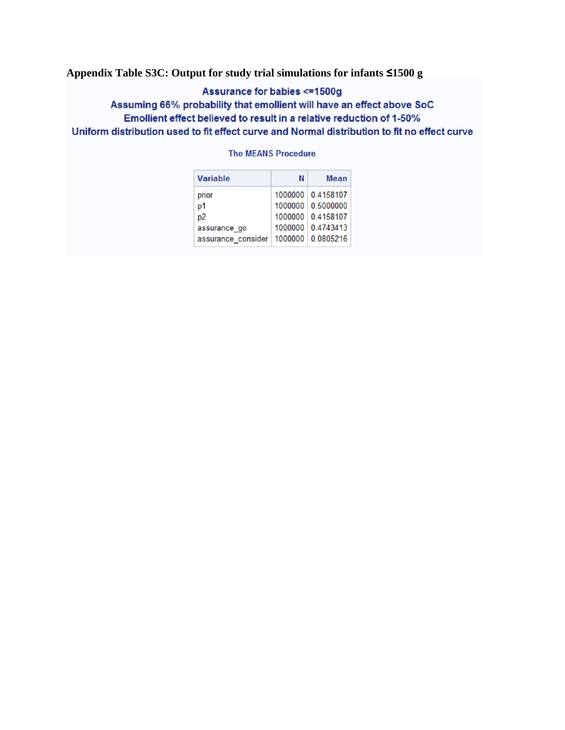### **Appendix Table S3C: Output for study trial simulations for infants ≤1500 g**

### Assurance for babies <= 1500g

### Assuming 66% probability that emollient will have an effect above SoC Emollient effect believed to result in a relative reduction of 1-50% Uniform distribution used to fit effect curve and Normal distribution to fit no effect curve

#### **The MEANS Procedure**

| <b>Variable</b>                          | Ν | <b>Mean</b>       |
|------------------------------------------|---|-------------------|
| prior                                    |   | 1000000 0.4158107 |
| p1                                       |   | 1000000 0.5000000 |
| p <sub>2</sub>                           |   | 1000000 0.4158107 |
| assurance go                             |   | 1000000 0.4743413 |
| assurance consider   1000000   0.0805216 |   |                   |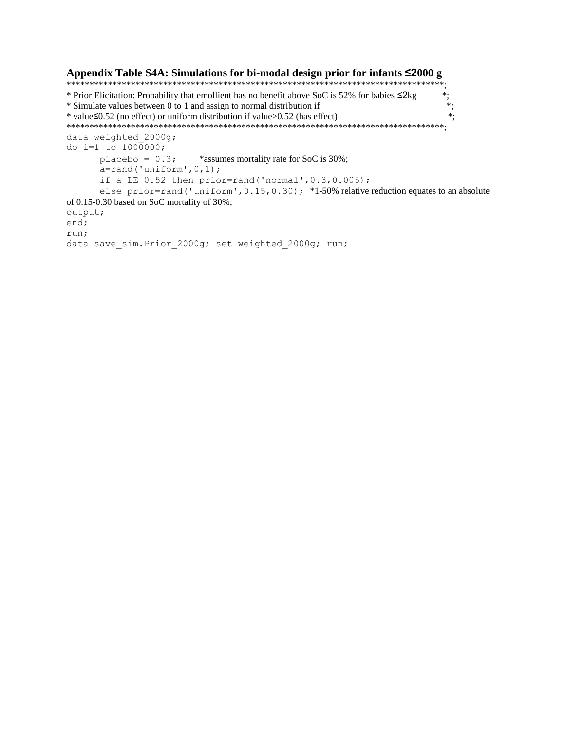```
Appendix Table S4A: Simulations for bi-modal design prior for infants ≤2000 g
* Prior Elicitation: Probability that emollient has no benefit above SoC is 52% for babies ≤2kg
                                                                      \ast:
                                                                       \ast,* Simulate values between 0 to 1 and assign to normal distribution if
                                                                       \ast:
* value \leq 0.52 (no effect) or uniform distribution if value > 0.52 (has effect)
data weighted 2000g;
do i=1 to 1000000;
      placebo = 0.3;*assumes mortality rate for SoC is 30%;
      a=rand('uniform', 0, 1);if a LE 0.52 then prior=rand('normal', 0.3, 0.005);
      else prior=rand ('uniform', 0.15, 0.30); *1-50% relative reduction equates to an absolute
of 0.15-0.30 based on SoC mortality of 30%;
output;
end;
run;
data save sim. Prior 2000g; set weighted 2000g; run;
```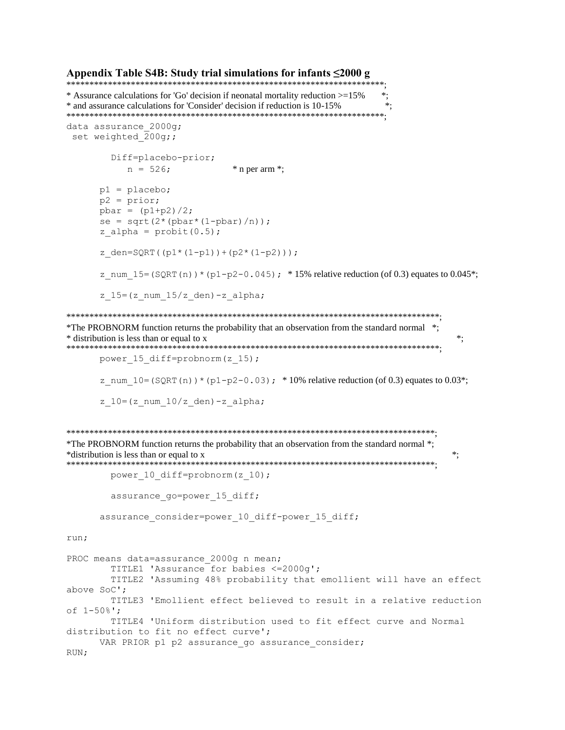#### Appendix Table S4B: Study trial simulations for infants  $\leq 2000$  g

```
* Assurance calculations for 'Go' decision if neonatal mortality reduction >=15%
                                                    *.
* and assurance calculations for 'Consider' decision if reduction is 10-15%
                                                    \ast.
data assurance 2000q;
set weighted 200g;;
       Diff=placebo-prior;
         n = 526;
                           * n per arm *;
     p1 = placebo;p2 = prior;pbar = (p1+p2)/2;se = sqrt(2*(pbar*(1-pbar)/n));z alpha = \text{probit}(0.5);
     z den=SQRT((p1*(1-p1))+(p2*(1-p2)));
     z num 15 = (SQRT(n)) * (p1-p2-0.045); * 15% relative reduction (of 0.3) equates to 0.045*;
     z 15=(z num 15/z den)-z alpha;
*The PROBNORM function returns the probability that an observation from the standard normal *;
* distribution is less than or equal to x
                                                                ^{\ast}power 15 diff=probnorm(z 15);
     z num 10 = (SQRT(n)) * (p1-p2-0.03); * 10% relative reduction (of 0.3) equates to 0.03*;
     z 10=(z num 10/z den)-z alpha;
*The PROBNORM function returns the probability that an observation from the standard normal *;
*distribution is less than or equal to x
                                                               \ddot{\cdot}power 10 diff=probnorm(z 10);
       assurance go=power 15 diff;
     assurance_consider=power_10_diff-power_15_diff;
run;
PROC means data=assurance 2000g n mean;
       TITLE1 'Assurance for babies <= 2000q';
       TITLE2 'Assuming 48% probability that emollient will have an effect
above SoC';
       TITLE3 'Emollient effect believed to result in a relative reduction
of 1 - 50 \frac{1}{2}:
       TITLE4 'Uniform distribution used to fit effect curve and Normal
distribution to fit no effect curve';
     VAR PRIOR p1 p2 assurance go assurance consider;
RUN;
```